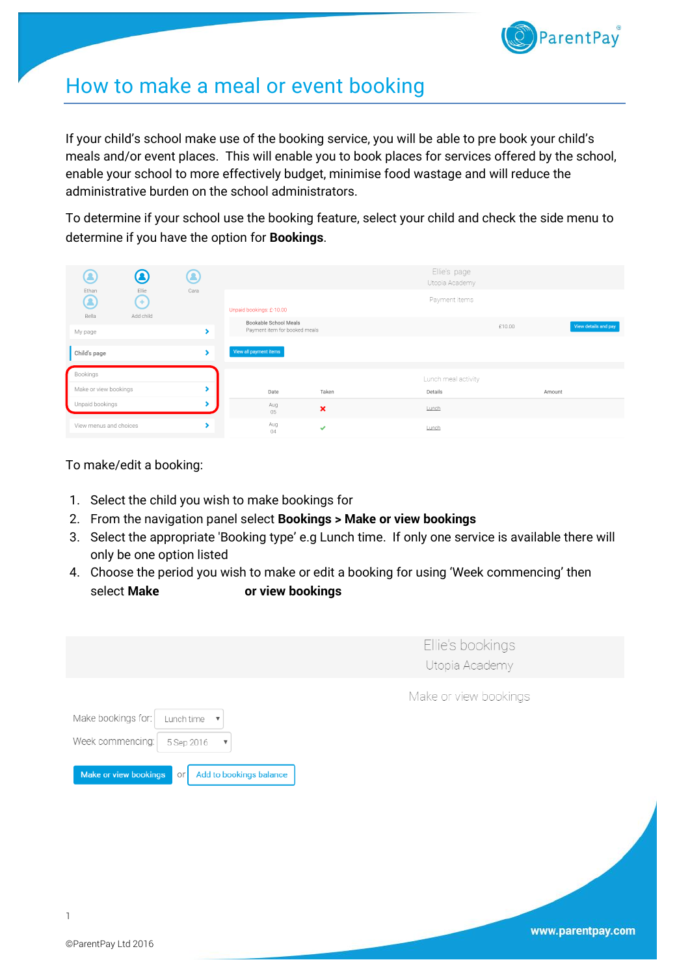

## How to make a meal or event booking

If your child's school make use of the booking service, you will be able to pre book your child's meals and/or event places. This will enable you to book places for services offered by the school, enable your school to more effectively budget, minimise food wastage and will reduce the administrative burden on the school administrators.

To determine if your school use the booking feature, select your child and check the side menu to determine if you have the option for **Bookings**.

| $\bf Q$<br>Ω<br>Ø<br>Cara<br>Ethan<br>Ellie |                |           |                                                        | Ellie's page<br>Utopia Academy |                     |        |                      |  |
|---------------------------------------------|----------------|-----------|--------------------------------------------------------|--------------------------------|---------------------|--------|----------------------|--|
| Ø<br>Bella                                  | Œ<br>Add child |           | Unpaid bookings: £-10.00                               |                                | Payment items       |        |                      |  |
| My page                                     |                |           | Bookable School Meals<br>Payment item for booked meals |                                |                     | £10.00 | View details and pay |  |
| Child's page                                |                |           | View all payment items                                 |                                |                     |        |                      |  |
| Bookings                                    |                |           |                                                        |                                | Lunch meal activity |        |                      |  |
| Make or view bookings                       |                |           | Date                                                   | Taken                          | Details             | Amount |                      |  |
| Unpaid bookings                             |                |           | Aug<br>05                                              | $\boldsymbol{\mathsf{x}}$      | Lunch               |        |                      |  |
| View menus and choices                      |                | Aug<br>04 | ✔                                                      | Lunch                          |                     |        |                      |  |

To make/edit a booking:

- 1. Select the child you wish to make bookings for
- 2. From the navigation panel select **Bookings > Make or view bookings**
- 3. Select the appropriate 'Booking type' e.g Lunch time. If only one service is available there will only be one option listed
- 4. Choose the period you wish to make or edit a booking for using 'Week commencing' then select **Make or view bookings**

|                                                                                                                                                                                        | Ellie's bookings<br>Utopia Academy |
|----------------------------------------------------------------------------------------------------------------------------------------------------------------------------------------|------------------------------------|
| Make bookings for:<br>Lunch time<br>$\boldsymbol{\mathrm{v}}$<br>Week commencing:<br>5 Sep 2016<br>$\boldsymbol{\mathrm{v}}$<br>Make or view bookings<br>Add to bookings balance<br>Oľ | Make or view bookings              |
|                                                                                                                                                                                        |                                    |

1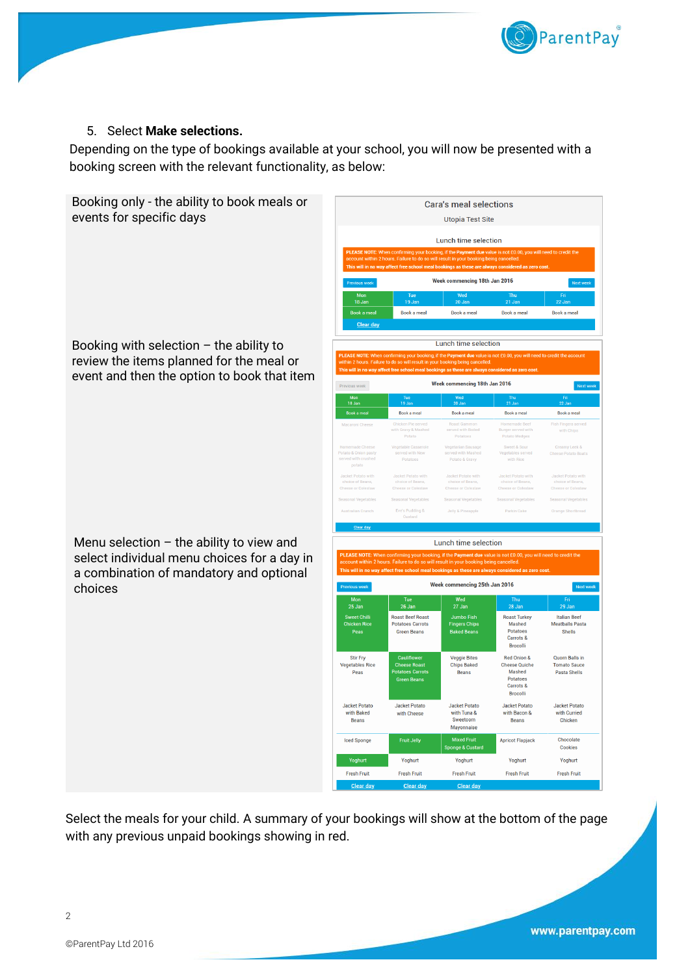

## 5. Select **Make selections.**

Depending on the type of bookings available at your school, you will now be presented with a booking screen with the relevant functionality, as below:

Booking only - the ability to book meals or events for specific days

Booking with selection  $-$  the ability to review the items planned for the meal or event and then the option to book that item

Menu selection  $-$  the ability to view and select individual menu choices for a day in a combination of mandatory and optional choices

Week commencing 18th Jan 2016 Book a meal Book a meal Book a meal Book a meal Lunch time selection Week commencing 18th Jan 2016 Previous week Mon<br>18 Jan  $\sim$   $\frac{100}{22}$ Book a meal Book a meal Book a meal Book a meal etarian Sausage<br>red with Mashed Sweet & Sour neese Potato Bo choice of Beans,<br>Cheese or Colesiay choice of Bean<br>Cheese or Coles Jelly & Pineapple Parkin Cak Lunch time selection **o** if the Payment due value ot £0.00 you will need to credit the Week commencing 25th Jan 2016  $\overline{N}$ Wed<br>27 Jan 26. lar Jumbo Fish<br>Fingers Chips<br>Baked Beans Roast Turkey **Roast Beef Roast Italian Reef Meatballs** Pasta Machor Masned<br>Potatoes<br>Carrots & Green Beans Shells **Brocolli** Stir Fry<br>Vegetables Rice Red Onion & Quorn Balls in **Veggie Bites Chips Baked** Cheese Quiche<br>Mashed Tomato Sauce Peas .<br>Beans **Pasta Shells** Potatoes Foratoes<br>Carrots &<br>Brocolli Jacket Potato<br>with Curried **Jacket Potato** Jacket Potato Jacket Potato **Jacket Potate** with Tuna &<br>Sweetcorn with Baked with Bacon & with Cheese Beans **Beans** Chicken Mayonnaise **Iced Sponge** Fruit Jelly **Mixed Frui Apricot Flapjack** Chocolate Cookies Yoghurt Yoghurt Yoghurt Yoghurt Fresh Fruit **Croob Cruit** Fresh Fruit Fresh Fruit Fresh Fruit

Cara's meal selections **Utopia Test Site** Lunch time selection

Select the meals for your child. A summary of your bookings will show at the bottom of the page with any previous unpaid bookings showing in red.